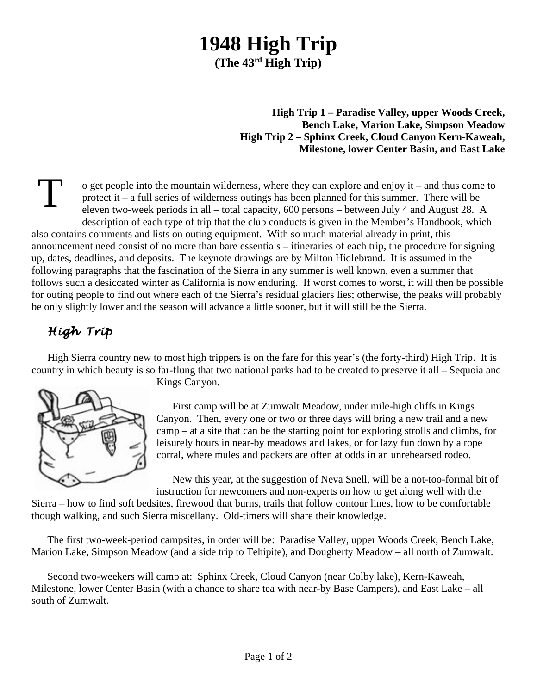## **1948 High Trip (The 43rd High Trip)**

**High Trip 1 – Paradise Valley, upper Woods Creek, Bench Lake, Marion Lake, Simpson Meadow High Trip 2 – Sphinx Creek, Cloud Canyon Kern-Kaweah, Milestone, lower Center Basin, and East Lake**

T o get people into the mountain wilderness, where they can explore and enjoy it – and thus come to protect it – a full series of wilderness outings has been planned for this summer. There will be eleven two-week periods in all – total capacity, 600 persons – between July 4 and August 28. A description of each type of trip that the club conducts is given in the Member's Handbook, which also contains comments and lists on outing equipment. With so much material already in print, this announcement need consist of no more than bare essentials – itineraries of each trip, the procedure for signing up, dates, deadlines, and deposits. The keynote drawings are by Milton Hidlebrand. It is assumed in the following paragraphs that the fascination of the Sierra in any summer is well known, even a summer that follows such a desiccated winter as California is now enduring. If worst comes to worst, it will then be possible for outing people to find out where each of the Sierra's residual glaciers lies; otherwise, the peaks will probably be only slightly lower and the season will advance a little sooner, but it will still be the Sierra.

## *High Trip*

High Sierra country new to most high trippers is on the fare for this year's (the forty-third) High Trip. It is country in which beauty is so far-flung that two national parks had to be created to preserve it all – Sequoia and



Kings Canyon.

First camp will be at Zumwalt Meadow, under mile-high cliffs in Kings Canyon. Then, every one or two or three days will bring a new trail and a new camp – at a site that can be the starting point for exploring strolls and climbs, for leisurely hours in near-by meadows and lakes, or for lazy fun down by a rope corral, where mules and packers are often at odds in an unrehearsed rodeo.

New this year, at the suggestion of Neva Snell, will be a not-too-formal bit of instruction for newcomers and non-experts on how to get along well with the

Sierra – how to find soft bedsites, firewood that burns, trails that follow contour lines, how to be comfortable though walking, and such Sierra miscellany. Old-timers will share their knowledge.

The first two-week-period campsites, in order will be: Paradise Valley, upper Woods Creek, Bench Lake, Marion Lake, Simpson Meadow (and a side trip to Tehipite), and Dougherty Meadow – all north of Zumwalt.

Second two-weekers will camp at: Sphinx Creek, Cloud Canyon (near Colby lake), Kern-Kaweah, Milestone, lower Center Basin (with a chance to share tea with near-by Base Campers), and East Lake – all south of Zumwalt.